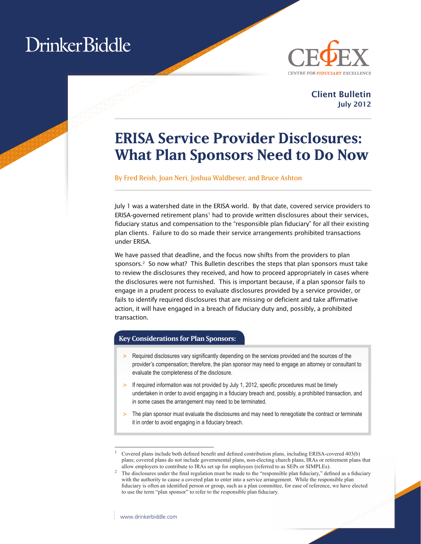# Drinker Biddle



Client Bulletin July 2012

### **ERISA Service Provider Disclosures: What Plan Sponsors Need to Do Now**

By Fred Reish, Joan Neri, Joshua Waldbeser, and Bruce Ashton

July 1 was a watershed date in the ERISA world. By that date, covered service providers to ERISA-governed retirement plans<sup>1</sup> had to provide written disclosures about their services, fiduciary status and compensation to the "responsible plan fiduciary" for all their existing plan clients. Failure to do so made their service arrangements prohibited transactions under ERISA.

We have passed that deadline, and the focus now shifts from the providers to plan sponsors. $2$  So now what? This Bulletin describes the steps that plan sponsors must take to review the disclosures they received, and how to proceed appropriately in cases where the disclosures were not furnished. This is important because, if a plan sponsor fails to engage in a prudent process to evaluate disclosures provided by a service provider, or fails to identify required disclosures that are missing or deficient and take affirmative action, it will have engaged in a breach of fiduciary duty and, possibly, a prohibited transaction.

#### **Key Considerations for Plan Sponsors:**

- > Required disclosures vary significantly depending on the services provided and the sources of the provider's compensation; therefore, the plan sponsor may need to engage an attorney or consultant to evaluate the completeness of the disclosure.
- $>$  If required information was not provided by July 1, 2012, specific procedures must be timely undertaken in order to avoid engaging in a fiduciary breach and, possibly, a prohibited transaction, and in some cases the arrangement may need to be terminated.
- > The plan sponsor must evaluate the disclosures and may need to renegotiate the contract or terminate it in order to avoid engaging in a fiduciary breach.

<sup>1</sup> Covered plans include both defined benefit and defined contribution plans, including ERISA-covered 403(b) plans; covered plans do not include governmental plans, non-electing church plans, IRAs or retirement plans that allow employers to contribute to IRAs set up for employees (referred to as SEPs or SIMPLEs).

<sup>2</sup> The disclosures under the final regulation must be made to the "responsible plan fiduciary," defined as a fiduciary with the authority to cause a covered plan to enter into a service arrangement. While the responsible plan fiduciary is often an identified person or group, such as a plan committee, for ease of reference, we have elected to use the term "plan sponsor" to refer to the responsible plan fiduciary.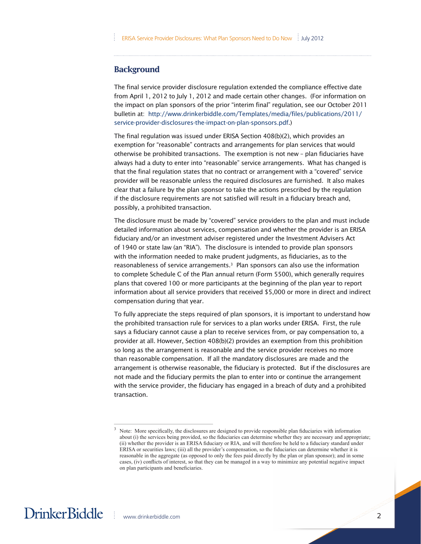#### **Background**

The final service provider disclosure regulation extended the compliance effective date from April 1, 2012 to July 1, 2012 and made certain other changes. (For information on the impact on plan sponsors of the prior "interim final" regulation, see our October 2011 bulletin at: http://www.drinkerbiddle.com/Templates/media/files/publications/2011/ service-provider-disclosures-the-impact-on-plan-sponsors.pdf.)

The final regulation was issued under ERISA Section 408(b)(2), which provides an exemption for "reasonable" contracts and arrangements for plan services that would otherwise be prohibited transactions. The exemption is not new – plan fiduciaries have always had a duty to enter into "reasonable" service arrangements. What has changed is that the final regulation states that no contract or arrangement with a "covered" service provider will be reasonable unless the required disclosures are furnished. It also makes clear that a failure by the plan sponsor to take the actions prescribed by the regulation if the disclosure requirements are not satisfied will result in a fiduciary breach and, possibly, a prohibited transaction.

The disclosure must be made by "covered" service providers to the plan and must include detailed information about services, compensation and whether the provider is an ERISA fiduciary and/or an investment adviser registered under the Investment Advisers Act of 1940 or state law (an "RIA"). The disclosure is intended to provide plan sponsors with the information needed to make prudent judgments, as fiduciaries, as to the reasonableness of service arrangements.3 Plan sponsors can also use the information to complete Schedule C of the Plan annual return (Form 5500), which generally requires plans that covered 100 or more participants at the beginning of the plan year to report information about all service providers that received \$5,000 or more in direct and indirect compensation during that year.

To fully appreciate the steps required of plan sponsors, it is important to understand how the prohibited transaction rule for services to a plan works under ERISA. First, the rule says a fiduciary cannot cause a plan to receive services from, or pay compensation to, a provider at all. However, Section 408(b)(2) provides an exemption from this prohibition so long as the arrangement is reasonable and the service provider receives no more than reasonable compensation. If all the mandatory disclosures are made and the arrangement is otherwise reasonable, the fiduciary is protected. But if the disclosures are not made and the fiduciary permits the plan to enter into or continue the arrangement with the service provider, the fiduciary has engaged in a breach of duty and a prohibited transaction.

<sup>&</sup>lt;sup>3</sup> Note: More specifically, the disclosures are designed to provide responsible plan fiduciaries with information about (i) the services being provided, so the fiduciaries can determine whether they are necessary and appropriate; (ii) whether the provider is an ERISA fiduciary or RIA, and will therefore be held to a fiduciary standard under ERISA or securities laws; (iii) all the provider's compensation, so the fiduciaries can determine whether it is reasonable in the aggregate (as opposed to only the fees paid directly by the plan or plan sponsor); and in some cases, (iv) conflicts of interest, so that they can be managed in a way to minimize any potential negative impact on plan participants and beneficiaries.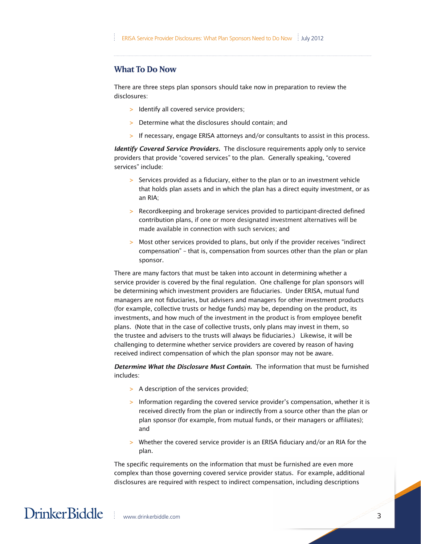#### **What To Do Now**

There are three steps plan sponsors should take now in preparation to review the disclosures:

- > Identify all covered service providers;
- > Determine what the disclosures should contain; and
- > If necessary, engage ERISA attorneys and/or consultants to assist in this process.

*Identify Covered Service Providers.* The disclosure requirements apply only to service providers that provide "covered services" to the plan. Generally speaking, "covered services" include:

- > Services provided as a fiduciary, either to the plan or to an investment vehicle that holds plan assets and in which the plan has a direct equity investment, or as an RIA;
- > Recordkeeping and brokerage services provided to participant-directed defined contribution plans, if one or more designated investment alternatives will be made available in connection with such services; and
- > Most other services provided to plans, but only if the provider receives "indirect compensation" – that is, compensation from sources other than the plan or plan sponsor.

(for example, collective trusts or hedge funds) may be, depending on the product, its There are many factors that must be taken into account in determining whether a service provider is covered by the final regulation. One challenge for plan sponsors will be determining which investment providers are fiduciaries. Under ERISA, mutual fund managers are not fiduciaries, but advisers and managers for other investment products investments, and how much of the investment in the product is from employee benefit plans. (Note that in the case of collective trusts, only plans may invest in them, so the trustee and advisers to the trusts will always be fiduciaries.) Likewise, it will be challenging to determine whether service providers are covered by reason of having received indirect compensation of which the plan sponsor may not be aware.

*Determine What the Disclosure Must Contain.* The information that must be furnished includes:

- > A description of the services provided;
- > Information regarding the covered service provider's compensation, whether it is received directly from the plan or indirectly from a source other than the plan or plan sponsor (for example, from mutual funds, or their managers or affiliates); and
- > Whether the covered service provider is an ERISA fiduciary and/or an RIA for the plan.

The specific requirements on the information that must be furnished are even more complex than those governing covered service provider status. For example, additional disclosures are required with respect to indirect compensation, including descriptions

### DrinkerBiddle | www.drinkerbiddle.com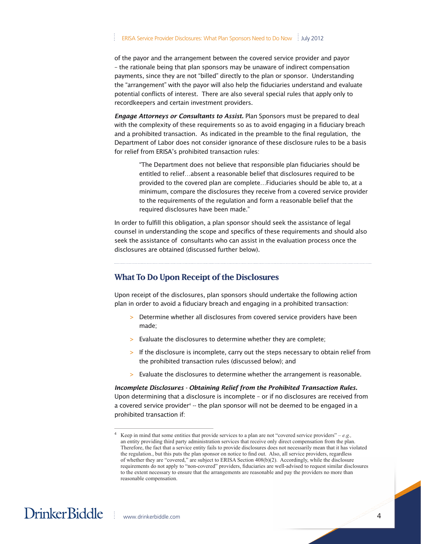of the payor and the arrangement between the covered service provider and payor – the rationale being that plan sponsors may be unaware of indirect compensation payments, since they are not "billed" directly to the plan or sponsor. Understanding the "arrangement" with the payor will also help the fiduciaries understand and evaluate potential conflicts of interest. There are also several special rules that apply only to recordkeepers and certain investment providers.

for relief from ERISA's prohibited transaction rules:<br>. *Engage Attorneys or Consultants to Assist.* Plan Sponsors must be prepared to deal with the complexity of these requirements so as to avoid engaging in a fiduciary breach and a prohibited transaction. As indicated in the preamble to the final regulation, the Department of Labor does not consider ignorance of these disclosure rules to be a basis

"The Department does not believe that responsible plan fiduciaries should be entitled to relief…absent a reasonable belief that disclosures required to be provided to the covered plan are complete…Fiduciaries should be able to, at a minimum, compare the disclosures they receive from a covered service provider to the requirements of the regulation and form a reasonable belief that the required disclosures have been made."

In order to fulfill this obligation, a plan sponsor should seek the assistance of legal counsel in understanding the scope and specifics of these requirements and should also seek the assistance of consultants who can assist in the evaluation process once the disclosures are obtained (discussed further below).

#### **What To Do Upon Receipt of the Disclosures**

Upon receipt of the disclosures, plan sponsors should undertake the following action plan in order to avoid a fiduciary breach and engaging in a prohibited transaction:

- > Determine whether all disclosures from covered service providers have been made;
- > Evaluate the disclosures to determine whether they are complete;
- > If the disclosure is incomplete, carry out the steps necessary to obtain relief from the prohibited transaction rules (discussed below); and
- > Evaluate the disclosures to determine whether the arrangement is reasonable.

*Incomplete Disclosures - Obtaining Relief from the Prohibited Transaction Rules.*  Upon determining that a disclosure is incomplete – or if no disclosures are received from a covered service provider<sup>4</sup> -- the plan sponsor will not be deemed to be engaged in a prohibited transaction if:

<sup>4</sup> Keep in mind that some entities that provide services to a plan are not "covered service providers" – *e.g.,*  an entity providing third party administration services that receive only direct compensation from the plan. Therefore, the fact that a service entity fails to provide disclosures does not necessarily mean that it has violated the regulation., but this puts the plan sponsor on notice to find out. Also, all service providers, regardless of whether they are "covered," are subject to ERISA Section 408(b)(2). Accordingly, while the disclosure requirements do not apply to "non-covered" providers, fiduciaries are well-advised to request similar disclosures to the extent necessary to ensure that the arrangements are reasonable and pay the providers no more than reasonable compensation.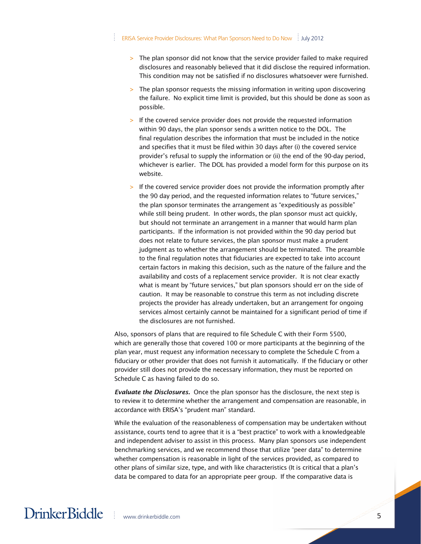- > The plan sponsor did not know that the service provider failed to make required disclosures and reasonably believed that it did disclose the required information. This condition may not be satisfied if no disclosures whatsoever were furnished.
- > The plan sponsor requests the missing information in writing upon discovering the failure. No explicit time limit is provided, but this should be done as soon as possible.
- > If the covered service provider does not provide the requested information within 90 days, the plan sponsor sends a written notice to the DOL. The final regulation describes the information that must be included in the notice and specifies that it must be filed within 30 days after (i) the covered service provider's refusal to supply the information or (ii) the end of the 90-day period, whichever is earlier. The DOL has provided a model form for this purpose on its website.
- > If the covered service provider does not provide the information promptly after the 90 day period, and the requested information relates to "future services," the plan sponsor terminates the arrangement as "expeditiously as possible" while still being prudent. In other words, the plan sponsor must act quickly, but should not terminate an arrangement in a manner that would harm plan participants. If the information is not provided within the 90 day period but does not relate to future services, the plan sponsor must make a prudent judgment as to whether the arrangement should be terminated. The preamble to the final regulation notes that fiduciaries are expected to take into account certain factors in making this decision, such as the nature of the failure and the availability and costs of a replacement service provider. It is not clear exactly what is meant by "future services," but plan sponsors should err on the side of caution. It may be reasonable to construe this term as not including discrete projects the provider has already undertaken, but an arrangement for ongoing services almost certainly cannot be maintained for a significant period of time if the disclosures are not furnished.

Also, sponsors of plans that are required to file Schedule C with their Form 5500, which are generally those that covered 100 or more participants at the beginning of the plan year, must request any information necessary to complete the Schedule C from a fiduciary or other provider that does not furnish it automatically. If the fiduciary or other provider still does not provide the necessary information, they must be reported on Schedule C as having failed to do so.

*Evaluate the Disclosures.* Once the plan sponsor has the disclosure, the next step is to review it to determine whether the arrangement and compensation are reasonable, in accordance with ERISA's "prudent man" standard.

While the evaluation of the reasonableness of compensation may be undertaken without assistance, courts tend to agree that it is a "best practice" to work with a knowledgeable and independent adviser to assist in this process. Many plan sponsors use independent benchmarking services, and we recommend those that utilize "peer data" to determine whether compensation is reasonable in light of the services provided, as compared to other plans of similar size, type, and with like characteristics (It is critical that a plan's data be compared to data for an appropriate peer group. If the comparative data is

### DrinkerBiddle | www.drinkerbiddle.com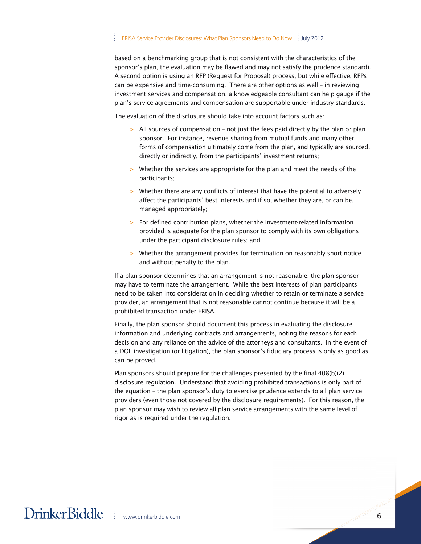based on a benchmarking group that is not consistent with the characteristics of the sponsor's plan, the evaluation may be flawed and may not satisfy the prudence standard). A second option is using an RFP (Request for Proposal) process, but while effective, RFPs can be expensive and time-consuming. There are other options as well – in reviewing investment services and compensation, a knowledgeable consultant can help gauge if the plan's service agreements and compensation are supportable under industry standards.

The evaluation of the disclosure should take into account factors such as:

- > All sources of compensation not just the fees paid directly by the plan or plan sponsor. For instance, revenue sharing from mutual funds and many other forms of compensation ultimately come from the plan, and typically are sourced, directly or indirectly, from the participants' investment returns;
- > Whether the services are appropriate for the plan and meet the needs of the participants;
- > Whether there are any conflicts of interest that have the potential to adversely affect the participants' best interests and if so, whether they are, or can be, managed appropriately;
- > For defined contribution plans, whether the investment-related information provided is adequate for the plan sponsor to comply with its own obligations under the participant disclosure rules; and
- > Whether the arrangement provides for termination on reasonably short notice and without penalty to the plan.

If a plan sponsor determines that an arrangement is not reasonable, the plan sponsor may have to terminate the arrangement. While the best interests of plan participants need to be taken into consideration in deciding whether to retain or terminate a service provider, an arrangement that is not reasonable cannot continue because it will be a prohibited transaction under ERISA.

Finally, the plan sponsor should document this process in evaluating the disclosure information and underlying contracts and arrangements, noting the reasons for each decision and any reliance on the advice of the attorneys and consultants. In the event of a DOL investigation (or litigation), the plan sponsor's fiduciary process is only as good as can be proved.

Plan sponsors should prepare for the challenges presented by the final 408(b)(2) disclosure regulation. Understand that avoiding prohibited transactions is only part of the equation – the plan sponsor's duty to exercise prudence extends to all plan service providers (even those not covered by the disclosure requirements). For this reason, the plan sponsor may wish to review all plan service arrangements with the same level of rigor as is required under the regulation.

### DrinkerBiddle | www.drinkerbiddle.com